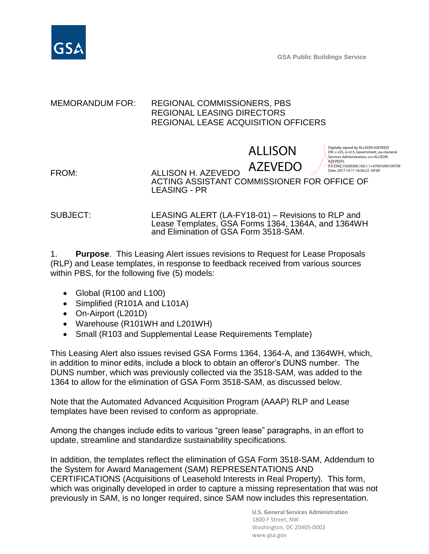

**GSA Public Buildings Service**

## MEMORANDUM FOR: REGIONAL COMMISSIONERS, PBS REGIONAL LEASING DIRECTORS REGIONAL LEASE ACQUISITION OFFICERS

# ALLISON

Digitally signed by ALLISON AZEVEDO DN: c=US, o=U.S. Government, ou=General Services Administration, cn=ALLISON AZEVEDO, 0.9.2342.19200300.100.1.1=47001000109709

FROM: ALLISON H. AZEVEDO ACTING ASSISTANT COMMISSIONER FOR OFFICE OF LEASING - PR AZEVEDO Date: 2017.10.11 16:56:22 -04'00'

SUBJECT: LEASING ALERT (LA-FY18-01) – Revisions to RLP and Lease Templates, GSA Forms 1364, 1364A, and 1364WH and Elimination of GSA Form 3518-SAM.

1. **Purpose**. This Leasing Alert issues revisions to Request for Lease Proposals (RLP) and Lease templates, in response to feedback received from various sources within PBS, for the following five (5) models:

- Global (R100 and L100)
- Simplified (R101A and L101A)
- On-Airport (L201D)
- Warehouse (R101WH and L201WH)
- Small (R103 and Supplemental Lease Requirements Template)

This Leasing Alert also issues revised GSA Forms 1364, 1364-A, and 1364WH, which, in addition to minor edits, include a block to obtain an offeror's DUNS number. The DUNS number, which was previously collected via the 3518-SAM, was added to the 1364 to allow for the elimination of GSA Form 3518-SAM, as discussed below.

Note that the Automated Advanced Acquisition Program (AAAP) RLP and Lease templates have been revised to conform as appropriate.

Among the changes include edits to various "green lease" paragraphs, in an effort to update, streamline and standardize sustainability specifications.

In addition, the templates reflect the elimination of GSA Form 3518-SAM, Addendum to the System for Award Management (SAM) REPRESENTATIONS AND CERTIFICATIONS (Acquisitions of Leasehold Interests in Real Property). This form, which was originally developed in order to capture a missing representation that was not previously in SAM, is no longer required, since SAM now includes this representation.

> **U.S. General Services Administration** 1800 F Street, NW Washington, DC 20405-0002 www.gsa.gov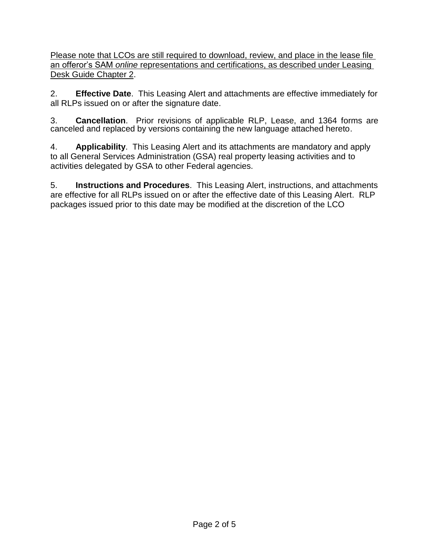Please note that LCOs are still required to download, review, and place in the lease file an offeror's SAM *online* representations and certifications, as described under Leasing Desk Guide Chapter 2.

2. **Effective Date**. This Leasing Alert and attachments are effective immediately for all RLPs issued on or after the signature date.

3. **Cancellation**. Prior revisions of applicable RLP, Lease, and 1364 forms are canceled and replaced by versions containing the new language attached hereto.

4. **Applicability**. This Leasing Alert and its attachments are mandatory and apply to all General Services Administration (GSA) real property leasing activities and to activities delegated by GSA to other Federal agencies.

5. **Instructions and Procedures**. This Leasing Alert, instructions, and attachments are effective for all RLPs issued on or after the effective date of this Leasing Alert. RLP packages issued prior to this date may be modified at the discretion of the LCO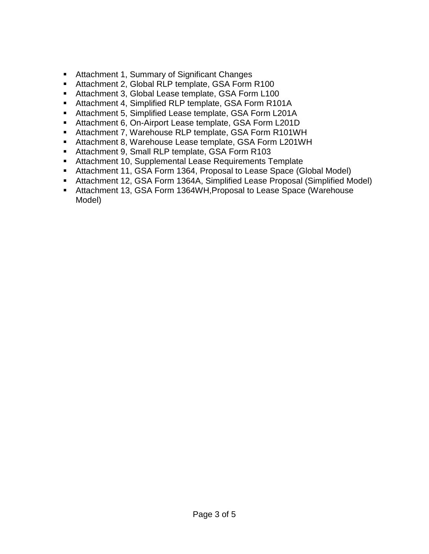- Attachment 1, Summary of Significant Changes
- Attachment 2, Global RLP template, GSA Form R100
- Attachment 3, Global Lease template, GSA Form L100
- Attachment 4, Simplified RLP template, GSA Form R101A
- Attachment 5, Simplified Lease template, GSA Form L201A
- Attachment 6, On-Airport Lease template, GSA Form L201D
- Attachment 7, Warehouse RLP template, GSA Form R101WH
- Attachment 8, Warehouse Lease template, GSA Form L201WH
- Attachment 9, Small RLP template, GSA Form R103
- Attachment 10, Supplemental Lease Requirements Template
- Attachment 11, GSA Form 1364, Proposal to Lease Space (Global Model)
- Attachment 12, GSA Form 1364A, Simplified Lease Proposal (Simplified Model)
- Attachment 13, GSA Form 1364WH,Proposal to Lease Space (Warehouse Model)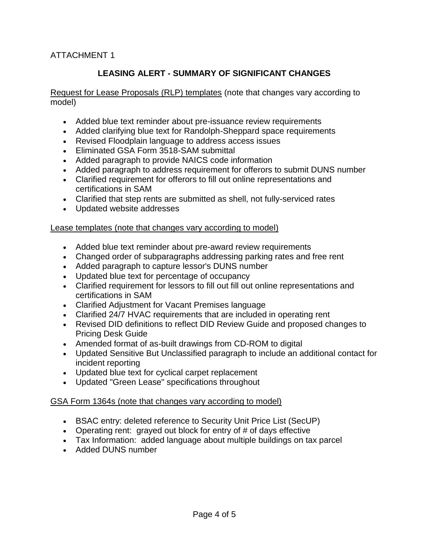#### ATTACHMENT 1

## **LEASING ALERT - SUMMARY OF SIGNIFICANT CHANGES**

Request for Lease Proposals (RLP) templates (note that changes vary according to model)

- Added blue text reminder about pre-issuance review requirements
- Added clarifying blue text for Randolph-Sheppard space requirements
- Revised Floodplain language to address access issues
- Eliminated GSA Form 3518-SAM submittal
- Added paragraph to provide NAICS code information
- Added paragraph to address requirement for offerors to submit DUNS number
- Clarified requirement for offerors to fill out online representations and certifications in SAM
- Clarified that step rents are submitted as shell, not fully-serviced rates
- Updated website addresses

#### Lease templates (note that changes vary according to model)

- Added blue text reminder about pre-award review requirements
- Changed order of subparagraphs addressing parking rates and free rent
- Added paragraph to capture lessor's DUNS number
- Updated blue text for percentage of occupancy
- Clarified requirement for lessors to fill out fill out online representations and certifications in SAM
- Clarified Adjustment for Vacant Premises language
- Clarified 24/7 HVAC requirements that are included in operating rent
- Revised DID definitions to reflect DID Review Guide and proposed changes to Pricing Desk Guide
- Amended format of as-built drawings from CD-ROM to digital
- Updated Sensitive But Unclassified paragraph to include an additional contact for incident reporting
- Updated blue text for cyclical carpet replacement
- Updated "Green Lease" specifications throughout

#### GSA Form 1364s (note that changes vary according to model)

- BSAC entry: deleted reference to Security Unit Price List (SecUP)
- Operating rent: grayed out block for entry of # of days effective
- Tax Information: added language about multiple buildings on tax parcel
- Added DUNS number